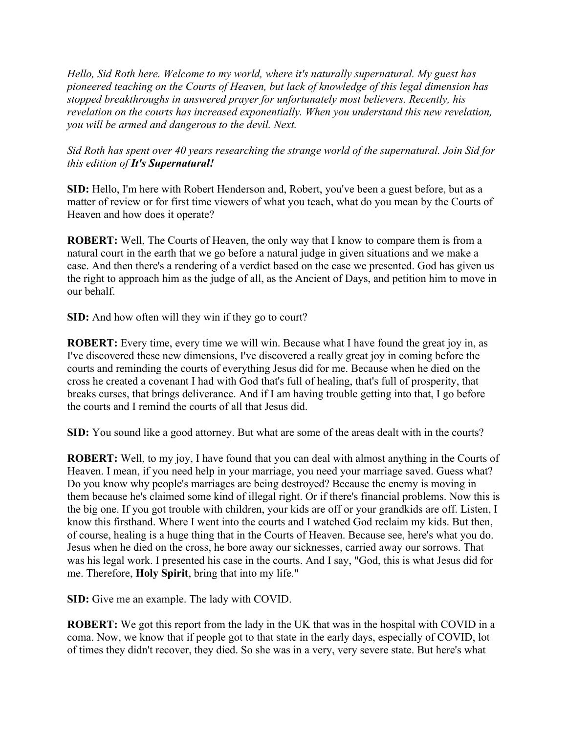*Hello, Sid Roth here. Welcome to my world, where it's naturally supernatural. My guest has pioneered teaching on the Courts of Heaven, but lack of knowledge of this legal dimension has stopped breakthroughs in answered prayer for unfortunately most believers. Recently, his revelation on the courts has increased exponentially. When you understand this new revelation, you will be armed and dangerous to the devil. Next.*

*Sid Roth has spent over 40 years researching the strange world of the supernatural. Join Sid for this edition of It's Supernatural!*

**SID:** Hello, I'm here with Robert Henderson and, Robert, you've been a guest before, but as a matter of review or for first time viewers of what you teach, what do you mean by the Courts of Heaven and how does it operate?

**ROBERT:** Well, The Courts of Heaven, the only way that I know to compare them is from a natural court in the earth that we go before a natural judge in given situations and we make a case. And then there's a rendering of a verdict based on the case we presented. God has given us the right to approach him as the judge of all, as the Ancient of Days, and petition him to move in our behalf.

**SID:** And how often will they win if they go to court?

**ROBERT:** Every time, every time we will win. Because what I have found the great joy in, as I've discovered these new dimensions, I've discovered a really great joy in coming before the courts and reminding the courts of everything Jesus did for me. Because when he died on the cross he created a covenant I had with God that's full of healing, that's full of prosperity, that breaks curses, that brings deliverance. And if I am having trouble getting into that, I go before the courts and I remind the courts of all that Jesus did.

**SID:** You sound like a good attorney. But what are some of the areas dealt with in the courts?

**ROBERT:** Well, to my joy, I have found that you can deal with almost anything in the Courts of Heaven. I mean, if you need help in your marriage, you need your marriage saved. Guess what? Do you know why people's marriages are being destroyed? Because the enemy is moving in them because he's claimed some kind of illegal right. Or if there's financial problems. Now this is the big one. If you got trouble with children, your kids are off or your grandkids are off. Listen, I know this firsthand. Where I went into the courts and I watched God reclaim my kids. But then, of course, healing is a huge thing that in the Courts of Heaven. Because see, here's what you do. Jesus when he died on the cross, he bore away our sicknesses, carried away our sorrows. That was his legal work. I presented his case in the courts. And I say, "God, this is what Jesus did for me. Therefore, **Holy Spirit**, bring that into my life."

**SID:** Give me an example. The lady with COVID.

**ROBERT:** We got this report from the lady in the UK that was in the hospital with COVID in a coma. Now, we know that if people got to that state in the early days, especially of COVID, lot of times they didn't recover, they died. So she was in a very, very severe state. But here's what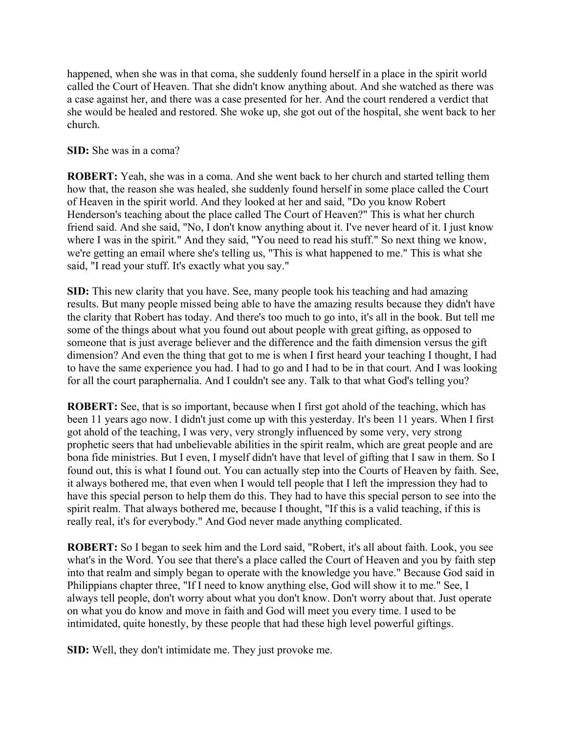happened, when she was in that coma, she suddenly found herself in a place in the spirit world called the Court of Heaven. That she didn't know anything about. And she watched as there was a case against her, and there was a case presented for her. And the court rendered a verdict that she would be healed and restored. She woke up, she got out of the hospital, she went back to her church.

## **SID:** She was in a coma?

**ROBERT:** Yeah, she was in a coma. And she went back to her church and started telling them how that, the reason she was healed, she suddenly found herself in some place called the Court of Heaven in the spirit world. And they looked at her and said, "Do you know Robert Henderson's teaching about the place called The Court of Heaven?" This is what her church friend said. And she said, "No, I don't know anything about it. I've never heard of it. I just know where I was in the spirit." And they said, "You need to read his stuff." So next thing we know, we're getting an email where she's telling us, "This is what happened to me." This is what she said, "I read your stuff. It's exactly what you say."

**SID:** This new clarity that you have. See, many people took his teaching and had amazing results. But many people missed being able to have the amazing results because they didn't have the clarity that Robert has today. And there's too much to go into, it's all in the book. But tell me some of the things about what you found out about people with great gifting, as opposed to someone that is just average believer and the difference and the faith dimension versus the gift dimension? And even the thing that got to me is when I first heard your teaching I thought, I had to have the same experience you had. I had to go and I had to be in that court. And I was looking for all the court paraphernalia. And I couldn't see any. Talk to that what God's telling you?

**ROBERT:** See, that is so important, because when I first got ahold of the teaching, which has been 11 years ago now. I didn't just come up with this yesterday. It's been 11 years. When I first got ahold of the teaching, I was very, very strongly influenced by some very, very strong prophetic seers that had unbelievable abilities in the spirit realm, which are great people and are bona fide ministries. But I even, I myself didn't have that level of gifting that I saw in them. So I found out, this is what I found out. You can actually step into the Courts of Heaven by faith. See, it always bothered me, that even when I would tell people that I left the impression they had to have this special person to help them do this. They had to have this special person to see into the spirit realm. That always bothered me, because I thought, "If this is a valid teaching, if this is really real, it's for everybody." And God never made anything complicated.

**ROBERT:** So I began to seek him and the Lord said, "Robert, it's all about faith. Look, you see what's in the Word. You see that there's a place called the Court of Heaven and you by faith step into that realm and simply began to operate with the knowledge you have." Because God said in Philippians chapter three, "If I need to know anything else, God will show it to me." See, I always tell people, don't worry about what you don't know. Don't worry about that. Just operate on what you do know and move in faith and God will meet you every time. I used to be intimidated, quite honestly, by these people that had these high level powerful giftings.

**SID:** Well, they don't intimidate me. They just provoke me.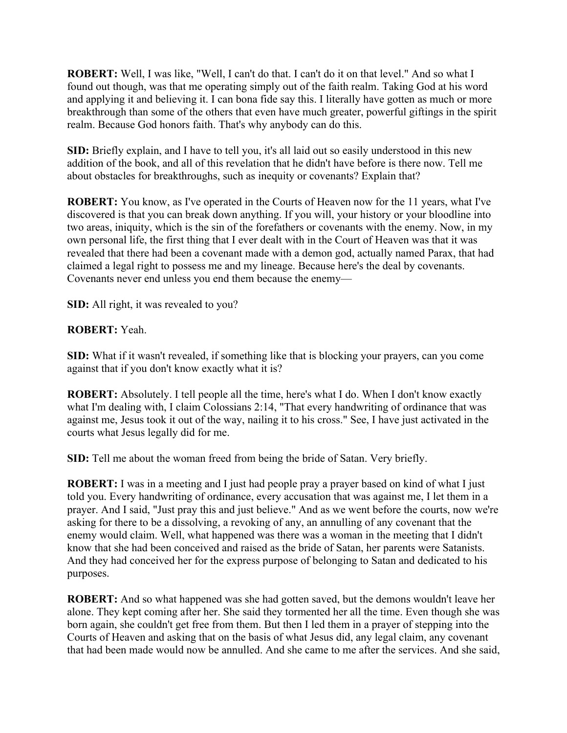**ROBERT:** Well, I was like, "Well, I can't do that. I can't do it on that level." And so what I found out though, was that me operating simply out of the faith realm. Taking God at his word and applying it and believing it. I can bona fide say this. I literally have gotten as much or more breakthrough than some of the others that even have much greater, powerful giftings in the spirit realm. Because God honors faith. That's why anybody can do this.

**SID:** Briefly explain, and I have to tell you, it's all laid out so easily understood in this new addition of the book, and all of this revelation that he didn't have before is there now. Tell me about obstacles for breakthroughs, such as inequity or covenants? Explain that?

**ROBERT:** You know, as I've operated in the Courts of Heaven now for the 11 years, what I've discovered is that you can break down anything. If you will, your history or your bloodline into two areas, iniquity, which is the sin of the forefathers or covenants with the enemy. Now, in my own personal life, the first thing that I ever dealt with in the Court of Heaven was that it was revealed that there had been a covenant made with a demon god, actually named Parax, that had claimed a legal right to possess me and my lineage. Because here's the deal by covenants. Covenants never end unless you end them because the enemy—

**SID:** All right, it was revealed to you?

## **ROBERT:** Yeah.

**SID:** What if it wasn't revealed, if something like that is blocking your prayers, can you come against that if you don't know exactly what it is?

**ROBERT:** Absolutely. I tell people all the time, here's what I do. When I don't know exactly what I'm dealing with, I claim Colossians 2:14, "That every handwriting of ordinance that was against me, Jesus took it out of the way, nailing it to his cross." See, I have just activated in the courts what Jesus legally did for me.

**SID:** Tell me about the woman freed from being the bride of Satan. Very briefly.

**ROBERT:** I was in a meeting and I just had people pray a prayer based on kind of what I just told you. Every handwriting of ordinance, every accusation that was against me, I let them in a prayer. And I said, "Just pray this and just believe." And as we went before the courts, now we're asking for there to be a dissolving, a revoking of any, an annulling of any covenant that the enemy would claim. Well, what happened was there was a woman in the meeting that I didn't know that she had been conceived and raised as the bride of Satan, her parents were Satanists. And they had conceived her for the express purpose of belonging to Satan and dedicated to his purposes.

**ROBERT:** And so what happened was she had gotten saved, but the demons wouldn't leave her alone. They kept coming after her. She said they tormented her all the time. Even though she was born again, she couldn't get free from them. But then I led them in a prayer of stepping into the Courts of Heaven and asking that on the basis of what Jesus did, any legal claim, any covenant that had been made would now be annulled. And she came to me after the services. And she said,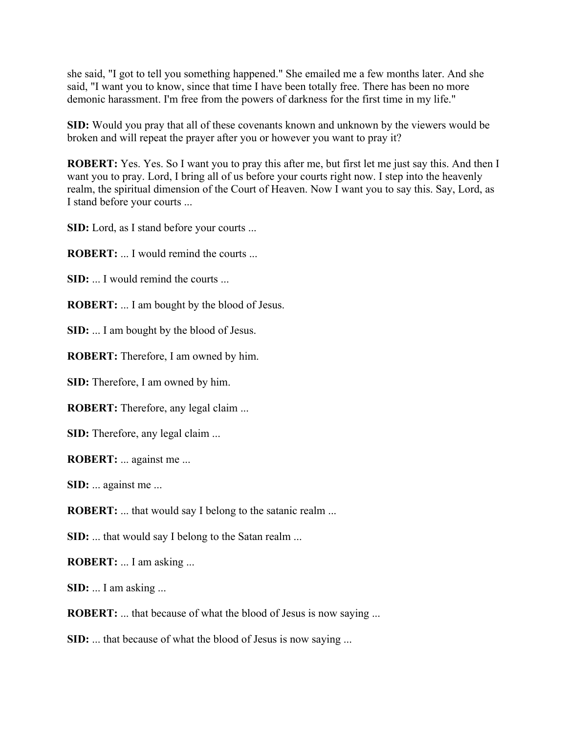she said, "I got to tell you something happened." She emailed me a few months later. And she said, "I want you to know, since that time I have been totally free. There has been no more demonic harassment. I'm free from the powers of darkness for the first time in my life."

**SID:** Would you pray that all of these covenants known and unknown by the viewers would be broken and will repeat the prayer after you or however you want to pray it?

**ROBERT:** Yes. Yes. So I want you to pray this after me, but first let me just say this. And then I want you to pray. Lord, I bring all of us before your courts right now. I step into the heavenly realm, the spiritual dimension of the Court of Heaven. Now I want you to say this. Say, Lord, as I stand before your courts ...

**SID:** Lord, as I stand before your courts ...

**ROBERT:** ... I would remind the courts ...

**SID:** ... I would remind the courts ...

**ROBERT:** ... I am bought by the blood of Jesus.

**SID:** ... I am bought by the blood of Jesus.

**ROBERT:** Therefore, I am owned by him.

**SID:** Therefore, I am owned by him.

**ROBERT:** Therefore, any legal claim ...

**SID:** Therefore, any legal claim ...

**ROBERT:** ... against me ...

**SID:** ... against me ...

**ROBERT:** ... that would say I belong to the satanic realm ...

**SID:** ... that would say I belong to the Satan realm ...

**ROBERT:** ... I am asking ...

**SID:** ... I am asking ...

**ROBERT:** ... that because of what the blood of Jesus is now saying ...

**SID:** ... that because of what the blood of Jesus is now saying ...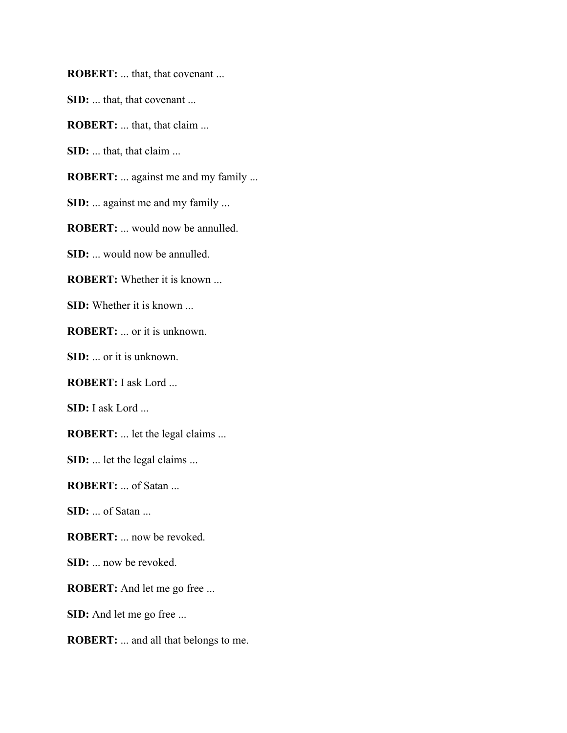**ROBERT:** ... that, that covenant ...

**SID:** ... that, that covenant ...

**ROBERT:** ... that, that claim ...

**SID:** ... that, that claim ...

**ROBERT:** ... against me and my family ...

**SID:** ... against me and my family ...

**ROBERT:** ... would now be annulled.

**SID:** ... would now be annulled.

**ROBERT:** Whether it is known ...

**SID:** Whether it is known ...

**ROBERT:** ... or it is unknown.

**SID:** ... or it is unknown.

**ROBERT:** I ask Lord ...

**SID:** I ask Lord ...

**ROBERT:** ... let the legal claims ...

**SID:** ... let the legal claims ...

**ROBERT:** ... of Satan ...

**SID:** ... of Satan ...

**ROBERT:** ... now be revoked.

**SID:** ... now be revoked.

**ROBERT:** And let me go free ...

**SID:** And let me go free ...

**ROBERT:** ... and all that belongs to me.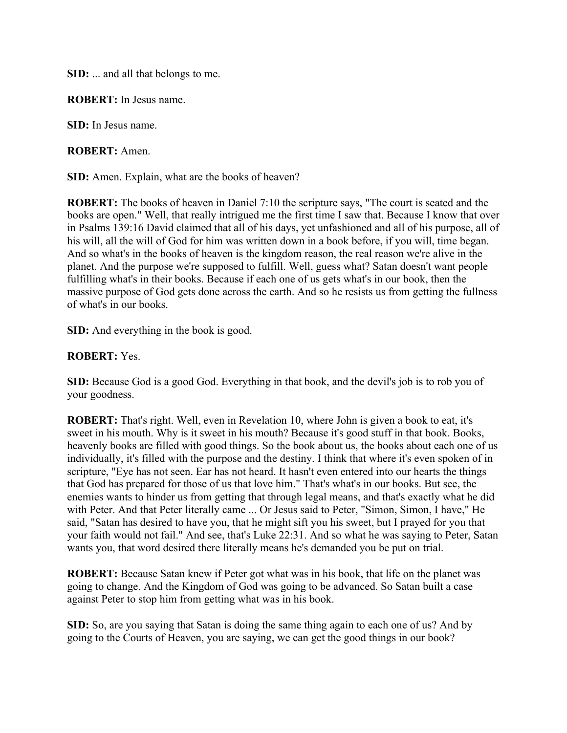**SID:** ... and all that belongs to me.

**ROBERT:** In Jesus name.

**SID:** In Jesus name.

**ROBERT:** Amen.

**SID:** Amen. Explain, what are the books of heaven?

**ROBERT:** The books of heaven in Daniel 7:10 the scripture says, "The court is seated and the books are open." Well, that really intrigued me the first time I saw that. Because I know that over in Psalms 139:16 David claimed that all of his days, yet unfashioned and all of his purpose, all of his will, all the will of God for him was written down in a book before, if you will, time began. And so what's in the books of heaven is the kingdom reason, the real reason we're alive in the planet. And the purpose we're supposed to fulfill. Well, guess what? Satan doesn't want people fulfilling what's in their books. Because if each one of us gets what's in our book, then the massive purpose of God gets done across the earth. And so he resists us from getting the fullness of what's in our books.

**SID:** And everything in the book is good.

## **ROBERT:** Yes.

**SID:** Because God is a good God. Everything in that book, and the devil's job is to rob you of your goodness.

**ROBERT:** That's right. Well, even in Revelation 10, where John is given a book to eat, it's sweet in his mouth. Why is it sweet in his mouth? Because it's good stuff in that book. Books, heavenly books are filled with good things. So the book about us, the books about each one of us individually, it's filled with the purpose and the destiny. I think that where it's even spoken of in scripture, "Eye has not seen. Ear has not heard. It hasn't even entered into our hearts the things that God has prepared for those of us that love him." That's what's in our books. But see, the enemies wants to hinder us from getting that through legal means, and that's exactly what he did with Peter. And that Peter literally came ... Or Jesus said to Peter, "Simon, Simon, I have," He said, "Satan has desired to have you, that he might sift you his sweet, but I prayed for you that your faith would not fail." And see, that's Luke 22:31. And so what he was saying to Peter, Satan wants you, that word desired there literally means he's demanded you be put on trial.

**ROBERT:** Because Satan knew if Peter got what was in his book, that life on the planet was going to change. And the Kingdom of God was going to be advanced. So Satan built a case against Peter to stop him from getting what was in his book.

**SID:** So, are you saying that Satan is doing the same thing again to each one of us? And by going to the Courts of Heaven, you are saying, we can get the good things in our book?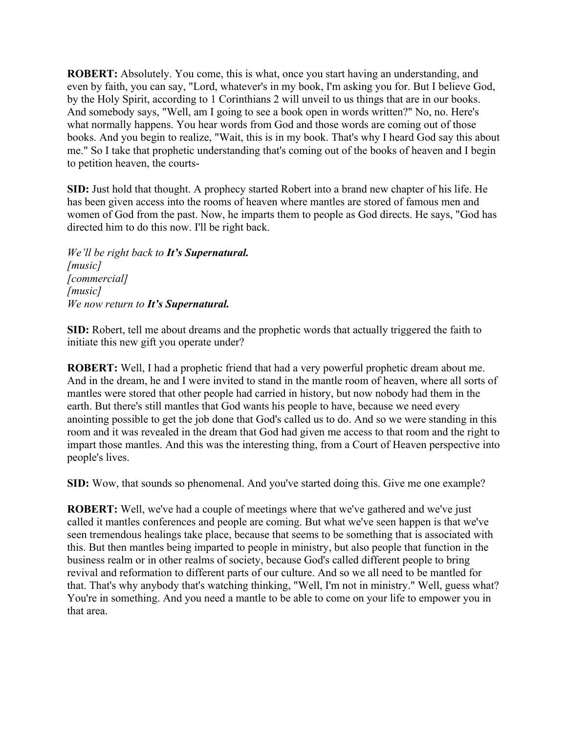**ROBERT:** Absolutely. You come, this is what, once you start having an understanding, and even by faith, you can say, "Lord, whatever's in my book, I'm asking you for. But I believe God, by the Holy Spirit, according to 1 Corinthians 2 will unveil to us things that are in our books. And somebody says, "Well, am I going to see a book open in words written?" No, no. Here's what normally happens. You hear words from God and those words are coming out of those books. And you begin to realize, "Wait, this is in my book. That's why I heard God say this about me." So I take that prophetic understanding that's coming out of the books of heaven and I begin to petition heaven, the courts-

**SID:** Just hold that thought. A prophecy started Robert into a brand new chapter of his life. He has been given access into the rooms of heaven where mantles are stored of famous men and women of God from the past. Now, he imparts them to people as God directs. He says, "God has directed him to do this now. I'll be right back.

*We'll be right back to It's Supernatural. [music] [commercial] [music] We now return to It's Supernatural.*

**SID:** Robert, tell me about dreams and the prophetic words that actually triggered the faith to initiate this new gift you operate under?

**ROBERT:** Well, I had a prophetic friend that had a very powerful prophetic dream about me. And in the dream, he and I were invited to stand in the mantle room of heaven, where all sorts of mantles were stored that other people had carried in history, but now nobody had them in the earth. But there's still mantles that God wants his people to have, because we need every anointing possible to get the job done that God's called us to do. And so we were standing in this room and it was revealed in the dream that God had given me access to that room and the right to impart those mantles. And this was the interesting thing, from a Court of Heaven perspective into people's lives.

**SID:** Wow, that sounds so phenomenal. And you've started doing this. Give me one example?

**ROBERT:** Well, we've had a couple of meetings where that we've gathered and we've just called it mantles conferences and people are coming. But what we've seen happen is that we've seen tremendous healings take place, because that seems to be something that is associated with this. But then mantles being imparted to people in ministry, but also people that function in the business realm or in other realms of society, because God's called different people to bring revival and reformation to different parts of our culture. And so we all need to be mantled for that. That's why anybody that's watching thinking, "Well, I'm not in ministry." Well, guess what? You're in something. And you need a mantle to be able to come on your life to empower you in that area.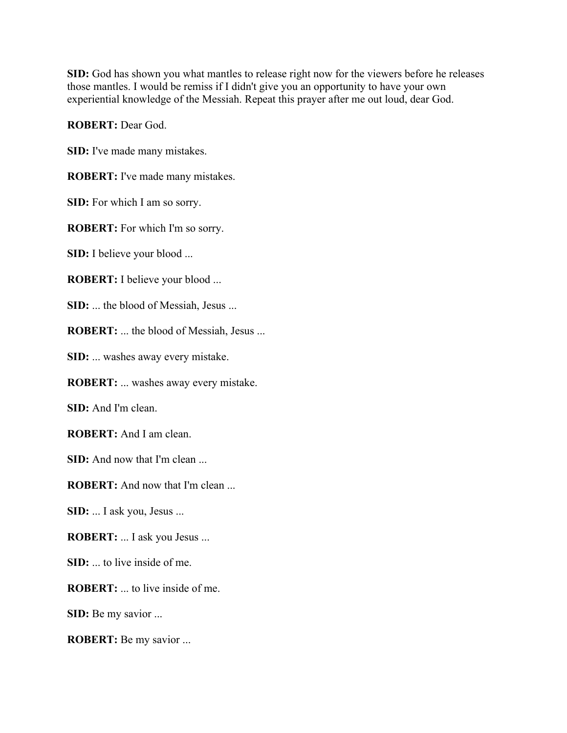**SID:** God has shown you what mantles to release right now for the viewers before he releases those mantles. I would be remiss if I didn't give you an opportunity to have your own experiential knowledge of the Messiah. Repeat this prayer after me out loud, dear God.

**ROBERT:** Dear God.

**SID:** I've made many mistakes.

**ROBERT:** I've made many mistakes.

**SID:** For which I am so sorry.

**ROBERT:** For which I'm so sorry.

**SID:** I believe your blood ...

**ROBERT:** I believe your blood ...

**SID:** ... the blood of Messiah, Jesus ...

**ROBERT:** ... the blood of Messiah, Jesus ...

**SID:** ... washes away every mistake.

**ROBERT:** ... washes away every mistake.

**SID:** And I'm clean.

**ROBERT:** And I am clean.

**SID:** And now that I'm clean ...

**ROBERT:** And now that I'm clean ...

**SID:** ... I ask you, Jesus ...

**ROBERT:** ... I ask you Jesus ...

**SID:** ... to live inside of me.

**ROBERT:** ... to live inside of me.

**SID:** Be my savior ...

**ROBERT:** Be my savior ...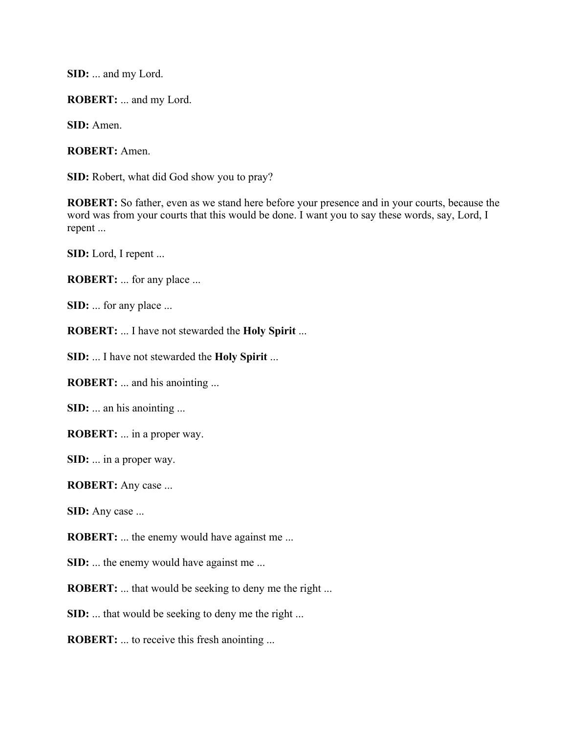**SID:** ... and my Lord.

**ROBERT:** ... and my Lord.

**SID:** Amen.

**ROBERT:** Amen.

**SID:** Robert, what did God show you to pray?

**ROBERT:** So father, even as we stand here before your presence and in your courts, because the word was from your courts that this would be done. I want you to say these words, say, Lord, I repent ...

**SID:** Lord, I repent ...

**ROBERT:** ... for any place ...

**SID:** ... for any place ...

**ROBERT:** ... I have not stewarded the **Holy Spirit** ...

**SID:** ... I have not stewarded the **Holy Spirit** ...

**ROBERT:** ... and his anointing ...

**SID:** ... an his anointing ...

**ROBERT:** ... in a proper way.

**SID:** ... in a proper way.

**ROBERT:** Any case ...

**SID:** Any case ...

**ROBERT:** ... the enemy would have against me ...

**SID:** ... the enemy would have against me ...

**ROBERT:** ... that would be seeking to deny me the right ...

**SID:** ... that would be seeking to deny me the right ...

**ROBERT:** ... to receive this fresh anointing ...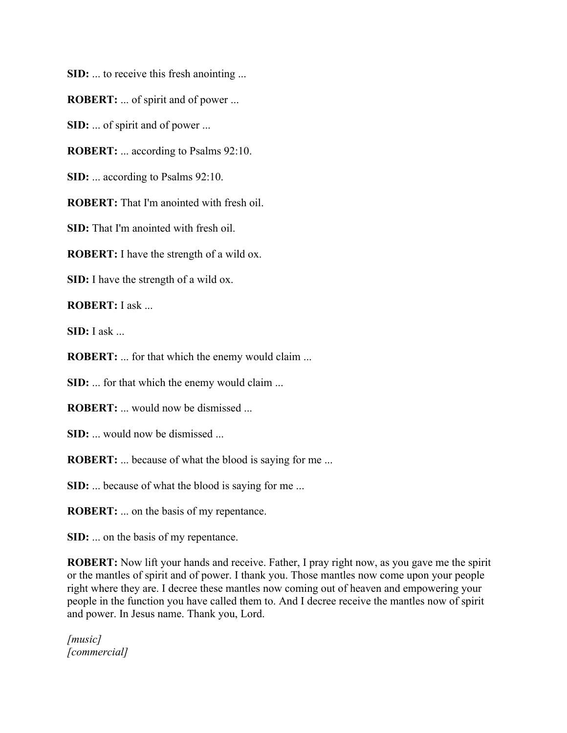**SID:** ... to receive this fresh anointing ...

**ROBERT:** ... of spirit and of power ...

**SID:** ... of spirit and of power ...

**ROBERT:** ... according to Psalms 92:10.

**SID:** ... according to Psalms 92:10.

**ROBERT:** That I'm anointed with fresh oil.

**SID:** That I'm anointed with fresh oil.

**ROBERT:** I have the strength of a wild ox.

**SID:** I have the strength of a wild ox.

**ROBERT:** I ask ...

**SID:** I ask ...

**ROBERT:** ... for that which the enemy would claim ...

**SID:** ... for that which the enemy would claim ...

**ROBERT:** ... would now be dismissed ...

**SID:** ... would now be dismissed ...

**ROBERT:** ... because of what the blood is saying for me ...

**SID:** ... because of what the blood is saying for me ...

**ROBERT:** ... on the basis of my repentance.

**SID:** ... on the basis of my repentance.

**ROBERT:** Now lift your hands and receive. Father, I pray right now, as you gave me the spirit or the mantles of spirit and of power. I thank you. Those mantles now come upon your people right where they are. I decree these mantles now coming out of heaven and empowering your people in the function you have called them to. And I decree receive the mantles now of spirit and power. In Jesus name. Thank you, Lord.

*[music] [commercial]*